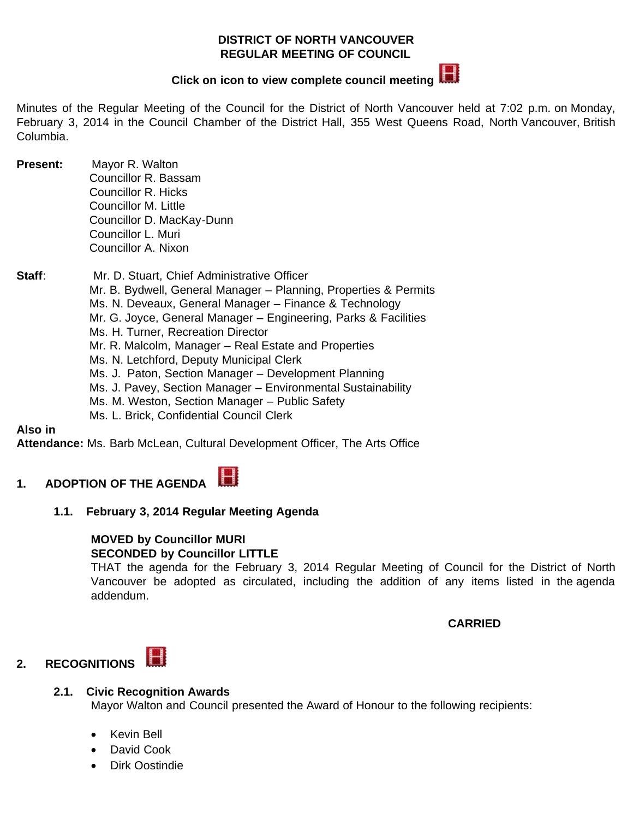#### **DISTRICT OF NORTH VANCOUVER REGULAR MEETING OF COUNCIL**



# **Clickon icon to view complete council meeting**

Minutes of the Regular Meeting of the Council for the District of North Vancouver held at 7:02 p.m. on Monday, February 3, 2014 in the Council Chamber of the District Hall, 355 West Queens Road, North Vancouver, British Columbia.

- **Present:** Mayor R. Walton Councillor R. Bassam Councillor R. Hicks Councillor M. Little Councillor D. MacKay-Dunn Councillor L. Muri Councillor A. Nixon
- **Staff**: Mr. D. Stuart, Chief Administrative Officer Mr. B. Bydwell, General Manager – Planning, Properties & Permits Ms. N. Deveaux, General Manager – Finance & Technology Mr. G. Joyce, General Manager – Engineering, Parks & Facilities Ms. H. Turner, Recreation Director Mr. R. Malcolm, Manager – Real Estate and Properties Ms. N. Letchford, Deputy Municipal Clerk Ms. J. Paton, Section Manager – Development Planning Ms. J. Pavey, Section Manager – Environmental Sustainability Ms. M. Weston, Section Manager – Public Safety Ms. L. Brick, Confidential Council Clerk

**Also in**

**Attendance:** Ms. Barb McLean, Cultural Development Officer, The Arts Office

#### H **1. ADOPTION OF THE AGENDA**

**1.1. February 3, 2014 Regular Meeting Agenda**

#### **MOVED by Councillor MURI SECONDED by Councillor LITTLE**

THAT the agenda for the February 3, 2014 Regular Meeting of Council for the District of North Vancouver be adopted as circulated, including the addition of any items listed in the agenda addendum.

## **CARRIED**

#### H **2. RECOGNITIONS**

#### **2.1. Civic Recognition Awards**

Mayor Walton and Council presented the Award of Honour to the following recipients:

- Kevin Bell
- David Cook
- Dirk Oostindie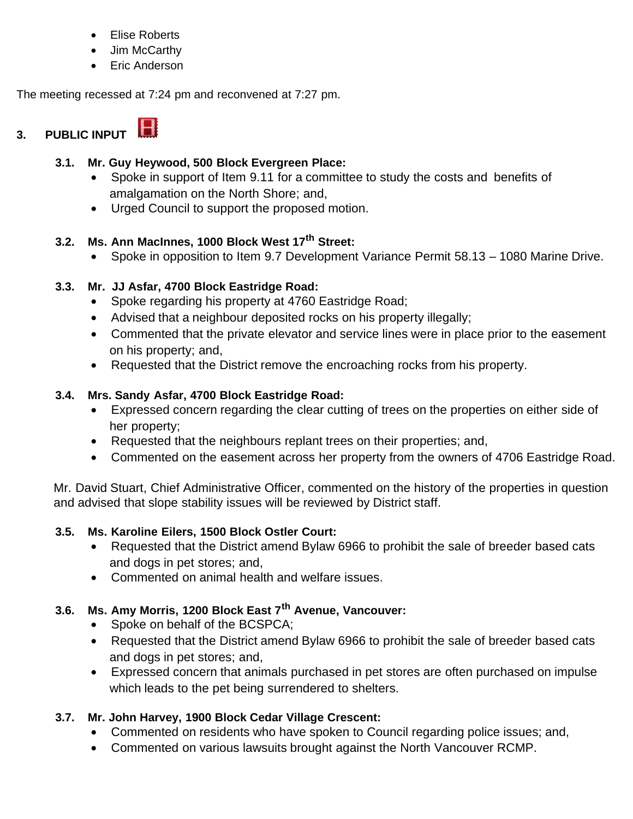- · Elise Roberts
- · Jim McCarthy
- Eric Anderson

The meeting recessed at 7:24 pm and reconvened at 7:27 pm.

# **3. PUBLIC INPUT**

## **3.1. Mr. Guy Heywood, 500 Block Evergreen Place:**

- · Spoke in support of Item 9.11 for a committee to study the costs and benefits of amalgamation on the North Shore; and,
- · Urged Council to support the proposed motion.

## **3.2. Ms. Ann MacInnes, 1000 Block West 17th Street:**

· Spoke in opposition to Item 9.7 Development Variance Permit 58.13 – 1080 Marine Drive.

## **3.3. Mr. JJ Asfar, 4700 Block Eastridge Road:**

- · Spoke regarding his property at 4760 Eastridge Road;
- · Advised that a neighbour deposited rocks on his property illegally;
- · Commented that the private elevator and service lines were in place prior to the easement on his property; and,
- · Requested that the District remove the encroaching rocks from his property.

## **3.4. Mrs. Sandy Asfar, 4700 Block Eastridge Road:**

- · Expressed concern regarding the clear cutting of trees on the properties on either side of her property;
- · Requested that the neighbours replant trees on their properties; and,
- · Commented on the easement across her property from the owners of 4706 Eastridge Road.

Mr. David Stuart, Chief Administrative Officer, commented on the history of the properties in question and advised that slope stability issues will be reviewed by District staff.

## **3.5. Ms. Karoline Eilers, 1500 Block Ostler Court:**

- Requested that the District amend Bylaw 6966 to prohibit the sale of breeder based cats and dogs in pet stores; and,
- · Commented on animal health and welfare issues.

## **3.6. Ms. Amy Morris, 1200 Block East 7th Avenue, Vancouver:**

- · Spoke on behalf of the BCSPCA;
- · Requested that the District amend Bylaw 6966 to prohibit the sale of breeder based cats and dogs in pet stores; and,
- · Expressed concern that animals purchased in pet stores are often purchased on impulse which leads to the pet being surrendered to shelters.

## **3.7. Mr. John Harvey, 1900 Block Cedar Village Crescent:**

- · Commented on residents who have spoken to Council regarding police issues; and,
- · Commented on various lawsuits brought against the North Vancouver RCMP.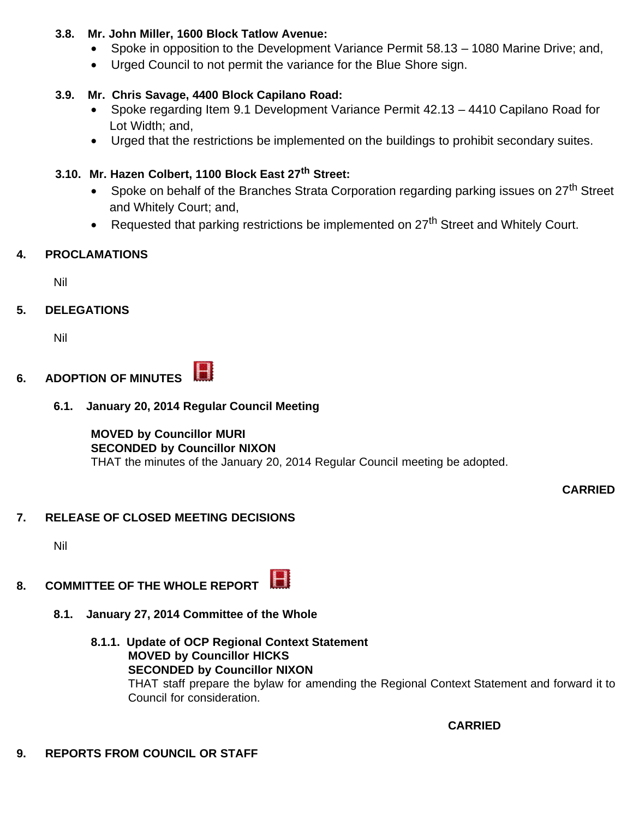## **3.8. Mr. John Miller, 1600 Block Tatlow Avenue:**

- Spoke in opposition to the Development Variance Permit 58.13 1080 Marine Drive; and,
- · Urged Council to not permit the variance for the Blue Shore sign.

## **3.9. Mr. Chris Savage, 4400 Block Capilano Road:**

- · Spoke regarding Item 9.1 Development Variance Permit 42.13 4410 Capilano Road for Lot Width; and,
- · Urged that the restrictions be implemented on the buildings to prohibit secondary suites.

## **3.10. Mr. Hazen Colbert, 1100 Block East 27th Street:**

- Spoke on behalf of the Branches Strata Corporation regarding parking issues on  $27<sup>th</sup>$  Street and Whitely Court; and,
- Requested that parking restrictions be implemented on  $27<sup>th</sup>$  Street and Whitely Court.

## **4. PROCLAMATIONS**

Nil

## **5. DELEGATIONS**

Nil

#### H **6. ADOPTION OF MINUTES**

### **6.1. January 20, 2014 Regular Council Meeting**

#### **MOVED by Councillor MURI SECONDED by Councillor NIXON** THAT the minutes of the January 20, 2014 Regular Council meeting be adopted.

**CARRIED**

## **7. RELEASE OF CLOSED MEETING DECISIONS**

Nil

#### H **8. COMMITTEE OF THE WHOLE REPORT**

- **8.1. January 27, 2014 Committee of the Whole**
	- **8.1.1. Update of OCP Regional Context Statement MOVED by Councillor HICKS SECONDED by Councillor NIXON** THAT staff prepare the bylaw for amending the Regional Context Statement and forward it to Council for consideration.

 **CARRIED**

## **9. REPORTS FROM COUNCIL OR STAFF**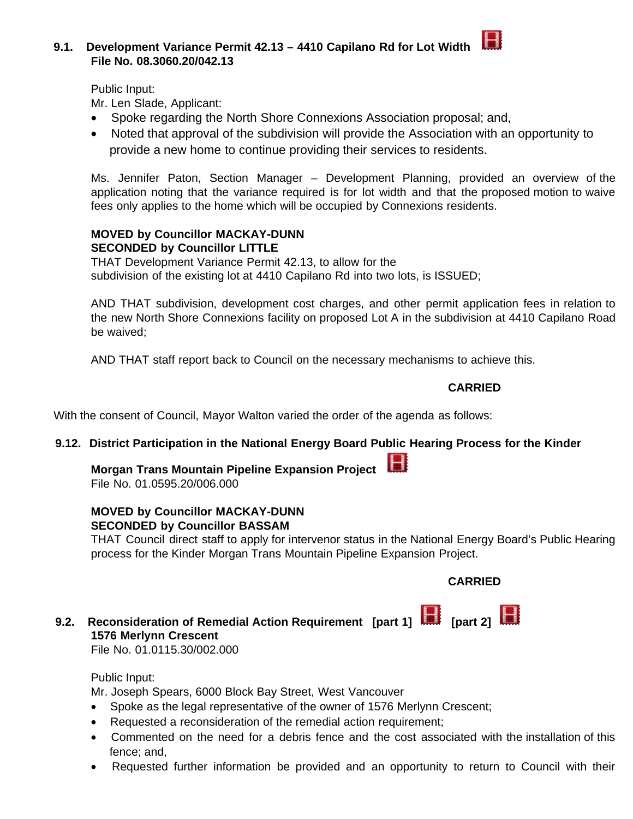#### **9.1. Development Variance Permit 42.13 – 4410 Capilano Rd for Lot Width File No. 08.3060.20/042.13**

Public Input:

Mr. Len Slade, Applicant:

- · Spoke regarding the North Shore Connexions Association proposal; and,
- · Noted that approval of the subdivision will provide the Association with an opportunity to provide a new home to continue providing their services to residents.

Ms. Jennifer Paton, Section Manager – Development Planning, provided an overview of the application noting that the variance required is for lot width and that the proposed motion to waive fees only applies to the home which will be occupied by Connexions residents.

#### **MOVED by Councillor MACKAY-DUNN SECONDED by Councillor LITTLE**

THAT Development Variance Permit 42.13, to allow for the subdivision of the existing lot at 4410 Capilano Rd into two lots, is ISSUED;

AND THAT subdivision, development cost charges, and other permit application fees in relation to the new North Shore Connexions facility on proposed Lot A in the subdivision at 4410 Capilano Road be waived;

AND THAT staff report back to Council on the necessary mechanisms to achieve this.

### **CARRIED**

With the consent of Council, Mayor Walton varied the order of the agenda as follows:

#### **9.12. District Participation in the National Energy Board Public Hearing Process for the Kinder**

# **Morgan Trans Mountain Pipeline Expansion Project**

File No. 01.0595.20/006.000

#### **MOVED by Councillor MACKAY-DUNN SECONDED by Councillor BASSAM**

THAT Council direct staff to apply for intervenor status in the National Energy Board's Public Hearing process for the Kinder Morgan Trans Mountain Pipeline Expansion Project.

## **CARRIED**

# **9.2.** Reconsideration of Remedial Action Requirement [part 1] **[10]** [part 2] **1576 Merlynn Crescent**

File No. 01.0115.30/002.000

Public Input:

Mr. Joseph Spears, 6000 Block Bay Street, West Vancouver

- · Spoke as the legal representative of the owner of 1576 Merlynn Crescent;
- · Requested a reconsideration of the remedial action requirement;
- · Commented on the need for a debris fence and the cost associated with the installation of this fence; and,
- · Requested further information be provided and an opportunity to return to Council with their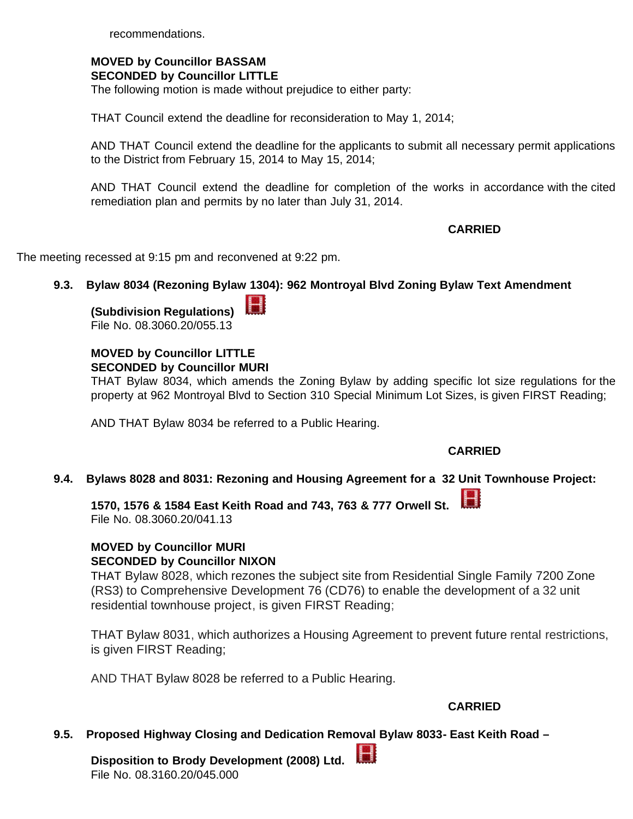recommendations.

#### **MOVED by Councillor BASSAM SECONDED by Councillor LITTLE**

The following motion is made without prejudice to either party:

THAT Council extend the deadline for reconsideration to May 1, 2014;

AND THAT Council extend the deadline for the applicants to submit all necessary permit applications to the District from February 15, 2014 to May 15, 2014;

AND THAT Council extend the deadline for completion of the works in accordance with the cited remediation plan and permits by no later than July 31, 2014.

 **CARRIED**

The meeting recessed at 9:15 pm and reconvened at 9:22 pm.

#### **9.3. Bylaw 8034 (Rezoning Bylaw 1304): 962 Montroyal Blvd Zoning Bylaw Text Amendment**

Н **(Subdivision Regulations)**  File No. 08.3060.20/055.13

# **MOVED by Councillor LITTLE**

**SECONDED by Councillor MURI**

THAT Bylaw 8034, which amends the Zoning Bylaw by adding specific lot size regulations for the property at 962 Montroyal Blvd to Section 310 Special Minimum Lot Sizes, is given FIRST Reading;

AND THAT Bylaw 8034 be referred to a Public Hearing.

### **CARRIED**

Н

#### **9.4. Bylaws 8028 and 8031: Rezoning and Housing Agreement for a 32 [Unit](http://www.dnv.org/article.asp?a=5809&start=11740&end=11770&filename=20140203) Townhouse Project:**

**1570, 1576 & 1584 East Keith Road and 743, 763 & 777 Orwell St.**  File No. 08.3060.20/041.13

#### **MOVED by Councillor MURI SECONDED by Councillor NIXON**

THAT Bylaw 8028, which rezones the subject site from Residential Single Family 7200 Zone (RS3) to Comprehensive Development 76 (CD76) to enable the development of a 32 unit residential townhouse project, is given FIRST Reading;

THAT Bylaw 8031, which authorizes a Housing Agreement to prevent future rental restrictions, is given FIRST Reading;

AND THAT Bylaw 8028 be referred to a Public Hearing.

#### **CARRIED**

#### **9.5. Proposed Highway Closing and Dedication Rem[oval](http://www.dnv.org/article.asp?a=5809&start=11764&end=12113&filename=20140203) Bylaw 8033- East Keith Road –**

**Disposition to Brody Development (2008) Ltd.**  File No. 08.3160.20/045.000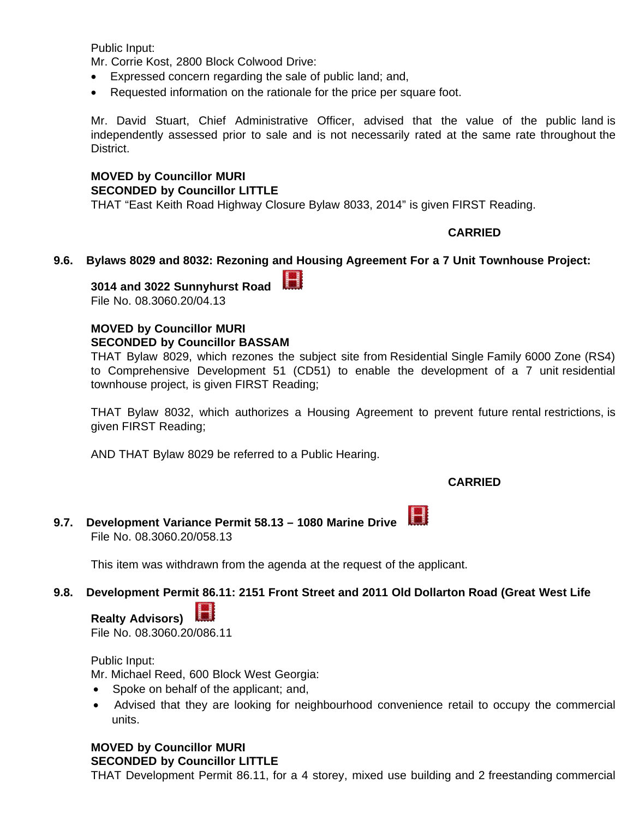Public Input:

Mr. Corrie Kost, 2800 Block Colwood Drive:

- · Expressed concern regarding the sale of public land; and,
- Requested information on the rationale for the price per square foot.

Mr. David Stuart, Chief Administrative Officer, advised that the value of the public land is independently assessed prior to sale and is not necessarily rated at the same rate throughout the District.

## **MOVED by Councillor MURI**

#### **SECONDED by Councillor LITTLE**

THAT "East Keith Road Highway Closure Bylaw 8033, 2014" is given FIRST Reading.

#### **CARRIED**

#### **9.6. Bylaws 8029 and 8032: Rezoning and Housing Agreement For a 7 Unit Townhouse Project:**

Н

**3014 and 3022 Sunnyhurst Road**  File No. 08.3060.20/04.13

#### **MOVED by Councillor MURI SECONDED by Councillor BASSAM**

THAT Bylaw 8029, which rezones the subject site from Residential Single Family 6000 Zone (RS4) to Comprehensive Development 51 (CD51) to enable the development of a 7 unit residential townhouse project, is given FIRST Reading;

THAT Bylaw 8032, which authorizes a Housing Agreement to prevent future rental restrictions, is given FIRST Reading;

AND THAT Bylaw 8029 be referred to a Public Hearing.

#### **CARRIED**

H **9.7. Development Variance Permit 58.13 – 1080 Marine Drive**  File No. 08.3060.20/058.13

This item was withdrawn from the agenda at the request of the applicant.

#### **9.8. Development Permit 86.11: 2151 Front Street and 2011 Old Dollarton Road (Great West Life**

**Realty Advisors)** 

File No. 08.3060.20/086.11

#### Public Input:

Mr. Michael Reed, 600 Block West Georgia:

- · Spoke on behalf of the applicant; and,
- · Advised that they are looking for neighbourhood convenience retail to occupy the commercial units.

#### **MOVED by Councillor MURI**

**SECONDED by Councillor LITTLE**

THAT Development Permit 86.11, for a 4 storey, mixed use building and 2 freestanding commercial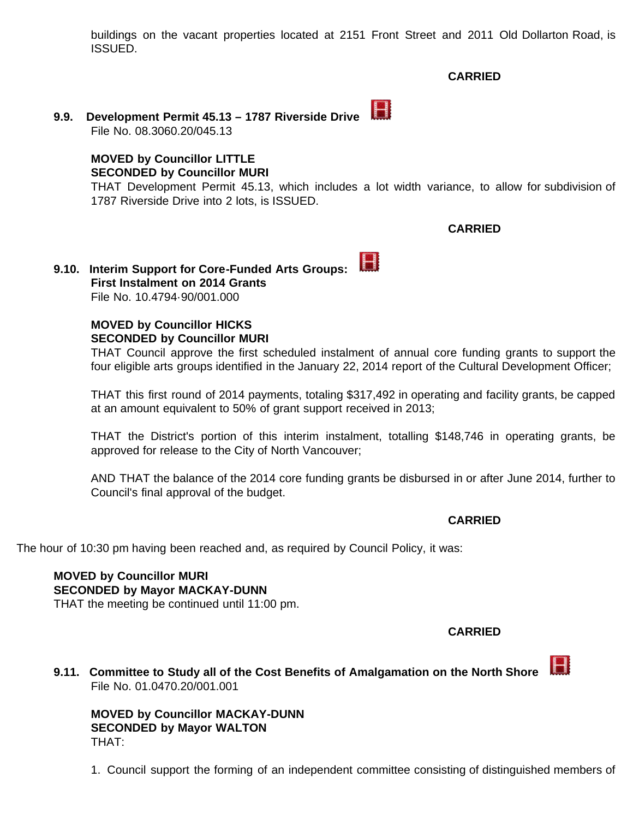buildings on the vacant properties located at 2151 Front Street and 2011 Old Dollarton Road, is ISSUED.

#### **CARRIED**

 $\blacksquare$ **9.9. Development Permit 45.13 – 1787 Riverside Drive**  File No. 08.3060.20/045.13

### **MOVED by Councillor LITTLE SECONDED by Councillor MURI**

THAT Development Permit 45.13, which includes a lot width variance, to allow for subdivision of 1787 Riverside Drive into 2 lots, is ISSUED.

### **CARRIED**

H **9.10. Interim Support for Core-Funded Arts Groups: First Instalment on 2014 Grants** File No. 10.4794·90/001.000

> **MOVED by Councillor HICKS SECONDED by Councillor MURI**

THAT Council approve the first scheduled instalment of annual core funding grants to support the four eligible arts groups identified in the January 22, 2014 report of the Cultural Development Officer;

THAT this first round of 2014 payments, totaling \$317,492 in operating and facility grants, be capped at an amount equivalent to 50% of grant support received in 2013;

THAT the District's portion of this interim instalment, totalling \$148,746 in operating grants, be approved for release to the City of North Vancouver;

AND THAT the balance of the 2014 core funding grants be disbursed in or after June 2014, further to Council's final approval of the budget.

#### **CARRIED**

The hour of 10:30 pm having been reached and, as required by Council Policy, it was:

## **MOVED by Councillor MURI**

**SECONDED by Mayor MACKAY-DUNN**

THAT the meeting be continued until 11:00 pm.

 **CARRIED**

**9.11. Committee to Study all of the Cost Benefits of Amalgamation on the North Shore** File No. 01.0470.20/001.001

**MOVED by Councillor MACKAY-DUNN SECONDED by Mayor WALTON** THAT:

1. Council support the forming of an independent committee consisting of distinguished members of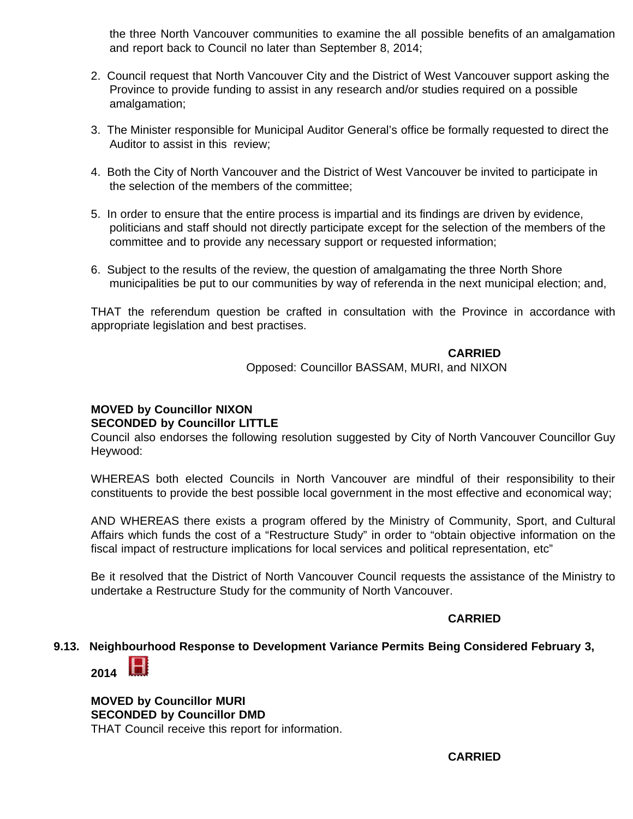the three North Vancouver communities to examine the all possible benefits of an amalgamation and report back to Council no later than September 8, 2014;

- 2. Council request that North Vancouver City and the District of West Vancouver support asking the Province to provide funding to assist in any research and/or studies required on a possible amalgamation;
- 3. The Minister responsible for Municipal Auditor General's office be formally requested to direct the Auditor to assist in this review;
- 4. Both the City of North Vancouver and the District of West Vancouver be invited to participate in the selection of the members of the committee;
- 5. In order to ensure that the entire process is impartial and its findings are driven by evidence, politicians and staff should not directly participate except for the selection of the members of the committee and to provide any necessary support or requested information;
- 6. Subject to the results of the review, the question of amalgamating the three North Shore municipalities be put to our communities by way of referenda in the next municipal election; and,

THAT the referendum question be crafted in consultation with the Province in accordance with appropriate legislation and best practises.

## **CARRIED**

Opposed: Councillor BASSAM, MURI, and NIXON

#### **MOVED by Councillor NIXON SECONDED by Councillor LITTLE**

Council also endorses the following resolution suggested by City of North Vancouver Councillor Guy Heywood:

WHEREAS both elected Councils in North Vancouver are mindful of their responsibility to their constituents to provide the best possible local government in the most effective and economical way;

AND WHEREAS there exists a program offered by the Ministry of Community, Sport, and Cultural Affairs which funds the cost of a "Restructure Study" in order to "obtain objective information on the fiscal impact of restructure implications for local services and political representation, etc"

Be it resolved that the District of North Vancouver Council requests the assistance of the Ministry to undertake a Restructure Study for the community of North Vancouver.

#### **CARRIED**

#### **9.13. Neigh[bourh](http://www.dnv.org/article.asp?a=5809&start=16990&end=17173&filename=20140203)ood Response to Development Variance Permits Being Considered February 3,**



**MOVED by Councillor MURI SECONDED by Councillor DMD** THAT Council receive this report for information.

 **CARRIED**